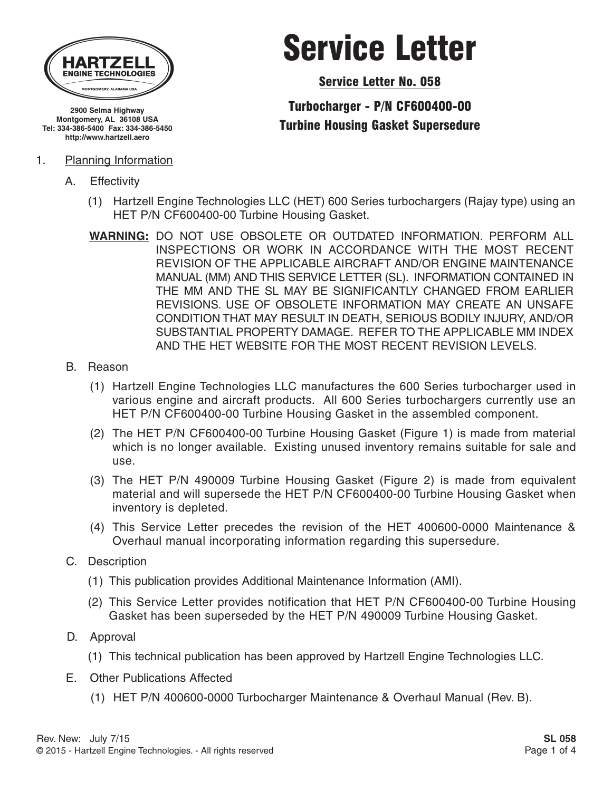

**2900 Selma Highway Montgomery, AL 36108 USA Tel: 334-386-5400 Fax: 334-386-5450 http://www.hartzell.aero**

#### 1. Planning Information

A. Effectivity

# Service Letter

Service Letter No. 058

### Turbocharger - P/N CF600400-00 Turbine Housing Gasket Supersedure

- (1) Hartzell Engine Technologies LLC (HET) 600 Series turbochargers (Rajay type) using an HET P/N CF600400-00 Turbine Housing Gasket.
- **WARNING:** DO NOT USE OBSOLETE OR OUTDATED INFORMATION. PERFORM ALL INSPECTIONS OR WORK IN ACCORDANCE WITH THE MOST RECENT REVISION OF THE APPLICABLE AIRCRAFT AND/OR ENGINE MAINTENANCE MANUAL (MM) AND THIS SERVICE LETTER (SL). INFORMATION CONTAINED IN THE MM AND THE SL MAY BE SIGNIFICANTLY CHANGED FROM EARLIER REVISIONS. USE OF OBSOLETE INFORMATION MAY CREATE AN UNSAFE CONDITION THAT MAY RESULT IN DEATH, SERIOUS BODILY INJURY, AND/OR SUBSTANTIAL PROPERTY DAMAGE. REFER TO THE APPLICABLE MM INDEX AND THE HET WEBSITE FOR THE MOST RECENT REVISION LEVELS.
- B. Reason
	- (1) Hartzell Engine Technologies LLC manufactures the 600 Series turbocharger used in various engine and aircraft products. All 600 Series turbochargers currently use an HET P/N CF600400-00 Turbine Housing Gasket in the assembled component.
	- (2) The HET P/N CF600400-00 Turbine Housing Gasket (Figure 1) is made from material which is no longer available. Existing unused inventory remains suitable for sale and use.
	- (3) The HET P/N 490009 Turbine Housing Gasket (Figure 2) is made from equivalent material and will supersede the HET P/N CF600400-00 Turbine Housing Gasket when inventory is depleted.
	- (4) This Service Letter precedes the revision of the HET 400600-0000 Maintenance & Overhaul manual incorporating information regarding this supersedure.
- C. Description
	- (1) This publication provides Additional Maintenance Information (AMI).
	- (2) This Service Letter provides notification that HET P/N CF600400-00 Turbine Housing Gasket has been superseded by the HET P/N 490009 Turbine Housing Gasket.
- D. Approval
	- (1) This technical publication has been approved by Hartzell Engine Technologies LLC.
- E. Other Publications Affected
	- (1) HET P/N 400600-0000 Turbocharger Maintenance & Overhaul Manual (Rev. B).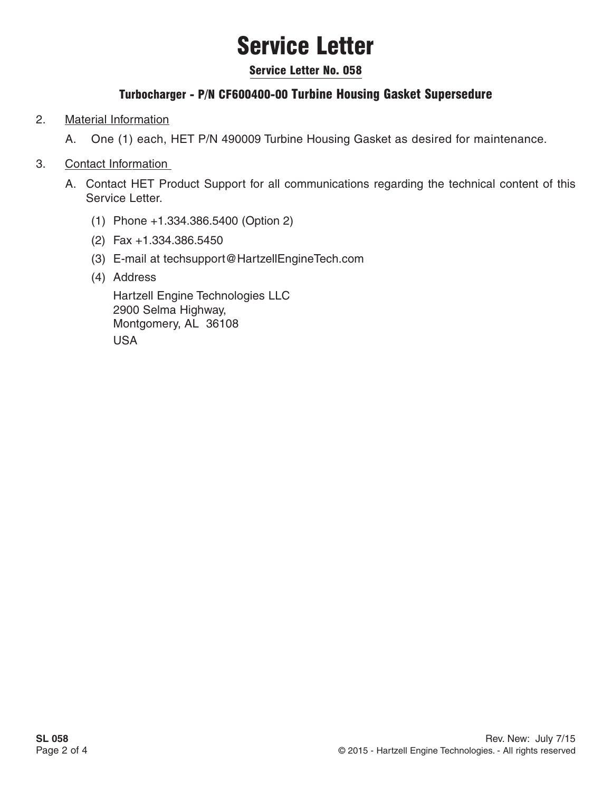# Service Letter

#### Service Letter No. 058

### Turbocharger - P/N CF600400-00 Turbine Housing Gasket Supersedure

#### 2. Material Information

A. One (1) each, HET P/N 490009 Turbine Housing Gasket as desired for maintenance.

#### 3. Contact Information

- A. Contact HET Product Support for all communications regarding the technical content of this Service Letter.
	- (1) Phone +1.334.386.5400 (Option 2)
	- (2) Fax +1.334.386.5450
	- (3) E-mail at techsupport@HartzellEngineTech.com
	- (4) Address

Hartzell Engine Technologies LLC 2900 Selma Highway, Montgomery, AL 36108 USA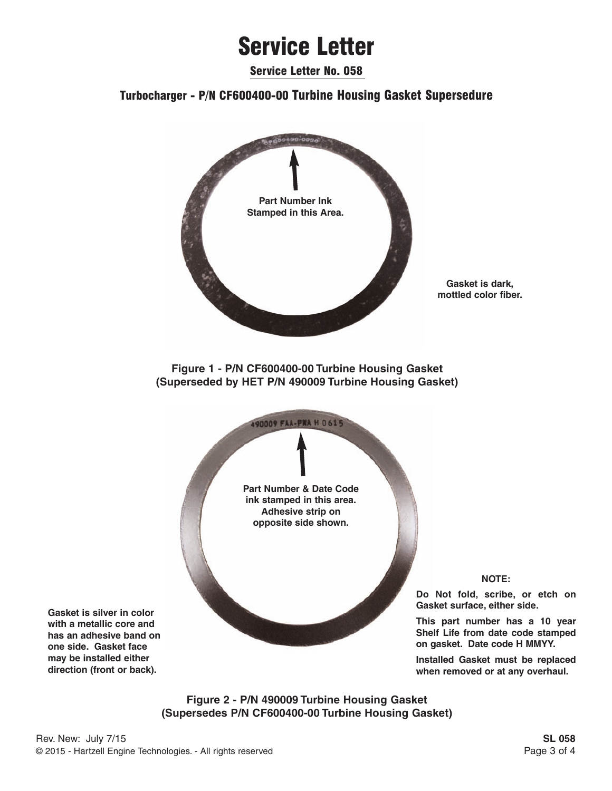### Service Letter

Service Letter No. 058

#### Turbocharger - P/N CF600400-00 Turbine Housing Gasket Supersedure



**Figure 2 - P/N 490009 Turbine Housing Gasket (Supersedes P/N CF600400-00 Turbine Housing Gasket)**